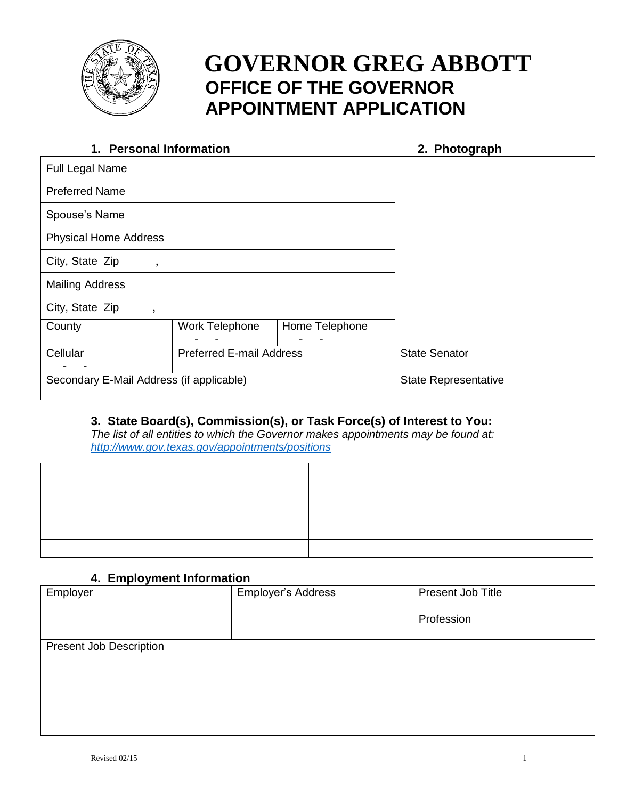

# **GOVERNOR GREG ABBOTT OFFICE OF THE GOVERNOR APPOINTMENT APPLICATION**

| 1. Personal Information                  |                                 | 2. Photograph  |                             |  |
|------------------------------------------|---------------------------------|----------------|-----------------------------|--|
| Full Legal Name                          |                                 |                |                             |  |
| <b>Preferred Name</b>                    |                                 |                |                             |  |
| Spouse's Name                            |                                 |                |                             |  |
| <b>Physical Home Address</b>             |                                 |                |                             |  |
| City, State Zip                          |                                 |                |                             |  |
| <b>Mailing Address</b>                   |                                 |                |                             |  |
| City, State Zip<br>,                     |                                 |                |                             |  |
| County                                   | Work Telephone                  | Home Telephone |                             |  |
| Cellular                                 | <b>Preferred E-mail Address</b> |                | <b>State Senator</b>        |  |
| Secondary E-Mail Address (if applicable) |                                 |                | <b>State Representative</b> |  |

### **3. State Board(s), Commission(s), or Task Force(s) of Interest to You:**

*The list of all entities to which the Governor makes appointments may be found at: <http://www.gov.texas.gov/appointments/positions>*

### **4. Employment Information**

| Employer                       | <b>Employer's Address</b> | Present Job Title |  |
|--------------------------------|---------------------------|-------------------|--|
|                                |                           | Profession        |  |
| <b>Present Job Description</b> |                           |                   |  |
|                                |                           |                   |  |
|                                |                           |                   |  |
|                                |                           |                   |  |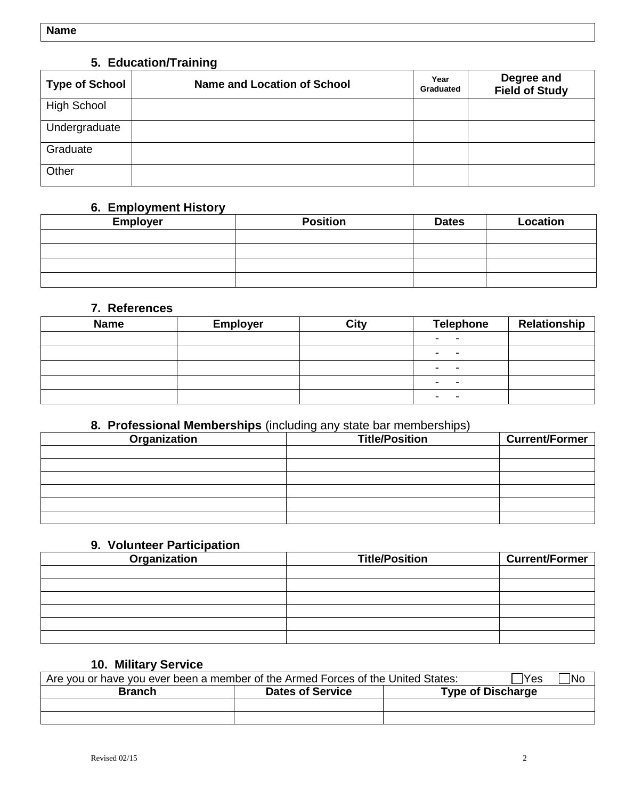### **5. Education/Training**

| <b>Type of School</b> | <b>Name and Location of School</b> | Year<br>Graduated | Degree and<br><b>Field of Study</b> |
|-----------------------|------------------------------------|-------------------|-------------------------------------|
| <b>High School</b>    |                                    |                   |                                     |
| Undergraduate         |                                    |                   |                                     |
| Graduate              |                                    |                   |                                     |
| Other                 |                                    |                   |                                     |

### **6. Employment History**

| <b>Employer</b> | <b>Position</b> | <b>Dates</b> | Location |
|-----------------|-----------------|--------------|----------|
|                 |                 |              |          |
|                 |                 |              |          |
|                 |                 |              |          |
|                 |                 |              |          |

### **7. References**

| <b>Name</b> | <b>Employer</b> | City | <b>Telephone</b> | Relationship |
|-------------|-----------------|------|------------------|--------------|
|             |                 |      | -<br>-           |              |
|             |                 |      | ۰                |              |
|             |                 |      | ۰                |              |
|             |                 |      | -<br>-           |              |
|             |                 |      |                  |              |

### **8. Professional Memberships** (including any state bar memberships)

| Organization | <b>Title/Position</b> | <b>Current/Former</b> |
|--------------|-----------------------|-----------------------|
|              |                       |                       |
|              |                       |                       |
|              |                       |                       |
|              |                       |                       |
|              |                       |                       |
|              |                       |                       |

### **9. Volunteer Participation**

| Organization | <b>Title/Position</b> | <b>Current/Former</b> |
|--------------|-----------------------|-----------------------|
|              |                       |                       |
|              |                       |                       |
|              |                       |                       |
|              |                       |                       |
|              |                       |                       |
|              |                       |                       |

### **10. Military Service**

| Are you or have you ever been a member of the Armed Forces of the United States: | ™es<br> No              |                          |
|----------------------------------------------------------------------------------|-------------------------|--------------------------|
| <b>Branch</b>                                                                    | <b>Dates of Service</b> | <b>Type of Discharge</b> |
|                                                                                  |                         |                          |
|                                                                                  |                         |                          |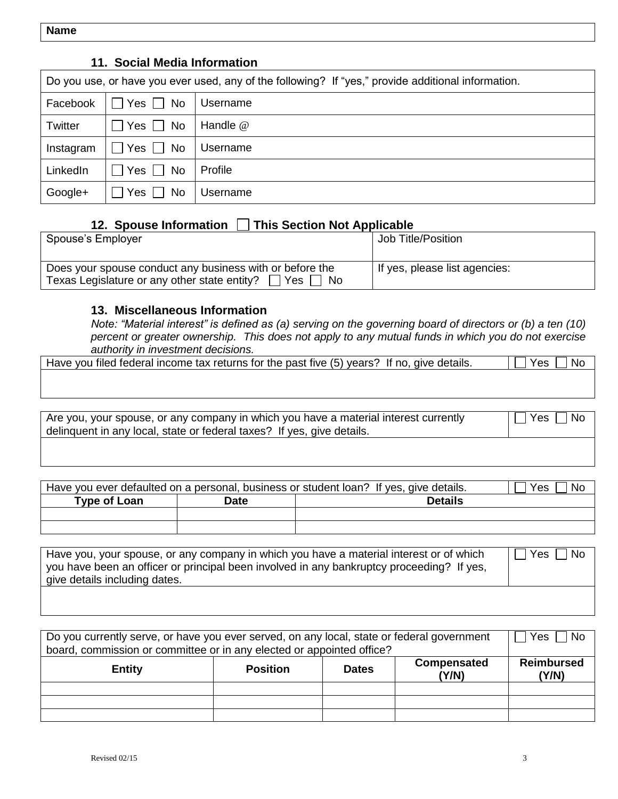**Name** 

## **11. Social Media Information**  Do you use, or have you ever used, any of the following? If "yes," provide additional information. Facebook  $\Box$  Yes  $\Box$  No Username Twitter  $|\bigcap$  Yes  $\bigcap$  No | Handle @ Instagram  $\Box$  Yes  $\Box$  No Username LinkedIn  $|\bigcap$  Yes  $\bigcap$  No Profile Google+  $\Box$  Yes  $\Box$  No Username

### **12. Spouse Information This Section Not Applicable**

| Spouse's Employer                                                                                                       | Job Title/Position            |
|-------------------------------------------------------------------------------------------------------------------------|-------------------------------|
| Does your spouse conduct any business with or before the<br>Texas Legislature or any other state entity? [<br>Yes<br>No | If yes, please list agencies: |

### **13. Miscellaneous Information**

*Note: "Material interest" is defined as (a) serving on the governing board of directors or (b) a ten (10) percent or greater ownership. This does not apply to any mutual funds in which you do not exercise authority in investment decisions.*

| Have you filed federal income tax returns for the past five (5) years? i.<br>lf no.<br>aive details | ΝG |
|-----------------------------------------------------------------------------------------------------|----|
|                                                                                                     |    |
|                                                                                                     |    |
|                                                                                                     |    |

| Are you, your spouse, or any company in which you have a material interest currently<br>l Nc<br>Yes<br>delinguent in any local, state or federal taxes? If yes, give details. |  |
|-------------------------------------------------------------------------------------------------------------------------------------------------------------------------------|--|
|-------------------------------------------------------------------------------------------------------------------------------------------------------------------------------|--|

| Have you ever defaulted on a personal, business or student loan? If yes, give details.<br>Yes<br>No |             |                |  |
|-----------------------------------------------------------------------------------------------------|-------------|----------------|--|
| <b>Type of Loan</b>                                                                                 | <b>Date</b> | <b>Details</b> |  |
|                                                                                                     |             |                |  |
|                                                                                                     |             |                |  |

| Have you, your spouse, or any company in which you have a material interest or of which<br>  you have been an officer or principal been involved in any bankruptcy proceeding? If yes,<br>give details including dates. | □ Yes I<br>l No |
|-------------------------------------------------------------------------------------------------------------------------------------------------------------------------------------------------------------------------|-----------------|
|                                                                                                                                                                                                                         |                 |

| Do you currently serve, or have you ever served, on any local, state or federal government<br>board, commission or committee or in any elected or appointed office? |                 |              |                      | l No<br>Yes                |
|---------------------------------------------------------------------------------------------------------------------------------------------------------------------|-----------------|--------------|----------------------|----------------------------|
| <b>Entity</b>                                                                                                                                                       | <b>Position</b> | <b>Dates</b> | Compensated<br>(Y/N) | <b>Reimbursed</b><br>(Y/N) |
|                                                                                                                                                                     |                 |              |                      |                            |
|                                                                                                                                                                     |                 |              |                      |                            |
|                                                                                                                                                                     |                 |              |                      |                            |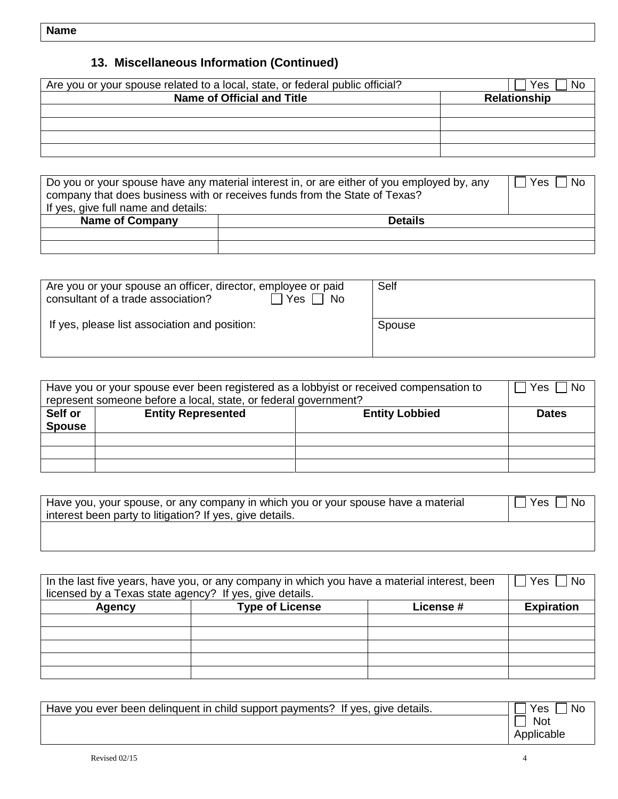## **13. Miscellaneous Information (Continued)**

| Are you or your spouse related to a local, state, or federal public official? | Yes<br>'N           |
|-------------------------------------------------------------------------------|---------------------|
| Name of Official and Title                                                    | <b>Relationship</b> |
|                                                                               |                     |
|                                                                               |                     |
|                                                                               |                     |
|                                                                               |                     |

| Do you or your spouse have any material interest in, or are either of you employed by, any<br>l No<br>Yes<br>company that does business with or receives funds from the State of Texas?<br>If yes, give full name and details: |  |  |  |  |
|--------------------------------------------------------------------------------------------------------------------------------------------------------------------------------------------------------------------------------|--|--|--|--|
| <b>Name of Company</b><br><b>Details</b>                                                                                                                                                                                       |  |  |  |  |
|                                                                                                                                                                                                                                |  |  |  |  |
|                                                                                                                                                                                                                                |  |  |  |  |

| Are you or your spouse an officer, director, employee or paid<br>consultant of a trade association?<br>Yes<br><b>No</b> | Self   |
|-------------------------------------------------------------------------------------------------------------------------|--------|
| If yes, please list association and position:                                                                           | Spouse |

| Have you or your spouse ever been registered as a lobbyist or received compensation to<br>represent someone before a local, state, or federal government? | <b>No</b><br>Yes |  |              |  |
|-----------------------------------------------------------------------------------------------------------------------------------------------------------|------------------|--|--------------|--|
| Self or<br><b>Entity Represented</b><br><b>Entity Lobbied</b><br><b>Spouse</b>                                                                            |                  |  | <b>Dates</b> |  |
|                                                                                                                                                           |                  |  |              |  |
|                                                                                                                                                           |                  |  |              |  |
|                                                                                                                                                           |                  |  |              |  |

| Have you, your spouse, or any company in which you or your spouse have a material | Yes |
|-----------------------------------------------------------------------------------|-----|
| interest been party to litigation? If yes, give details.                          | No  |
|                                                                                   |     |

| In the last five years, have you, or any company in which you have a material interest, been | Yes<br><b>No</b>       |           |                   |
|----------------------------------------------------------------------------------------------|------------------------|-----------|-------------------|
| licensed by a Texas state agency? If yes, give details.                                      |                        |           |                   |
| Agency                                                                                       | <b>Type of License</b> | License # | <b>Expiration</b> |
|                                                                                              |                        |           |                   |
|                                                                                              |                        |           |                   |
|                                                                                              |                        |           |                   |
|                                                                                              |                        |           |                   |
|                                                                                              |                        |           |                   |

| Have you ever been delinguent in child support payments? If yes, give details. | Yes<br>. Nc |
|--------------------------------------------------------------------------------|-------------|
|                                                                                | <b>Not</b>  |
|                                                                                | Applicable  |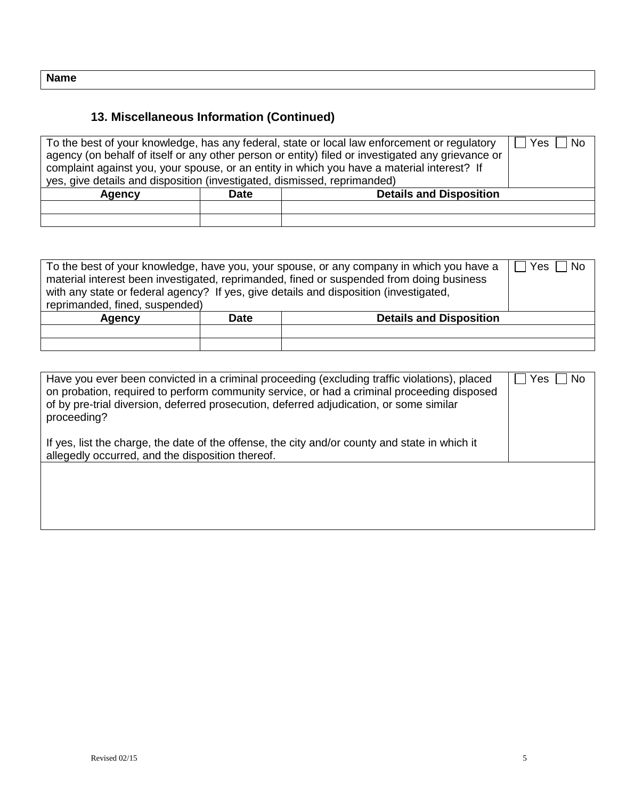## **13. Miscellaneous Information (Continued)**

| To the best of your knowledge, has any federal, state or local law enforcement or regulatory      |  |  |  |
|---------------------------------------------------------------------------------------------------|--|--|--|
| agency (on behalf of itself or any other person or entity) filed or investigated any grievance or |  |  |  |
| complaint against you, your spouse, or an entity in which you have a material interest? If        |  |  |  |
| yes, give details and disposition (investigated, dismissed, reprimanded)                          |  |  |  |
| <b>Details and Disposition</b><br><b>Date</b><br><b>Agency</b>                                    |  |  |  |
|                                                                                                   |  |  |  |
|                                                                                                   |  |  |  |

| Yes<br>To the best of your knowledge, have you, your spouse, or any company in which you have a<br><b>No</b><br>material interest been investigated, reprimanded, fined or suspended from doing business<br>with any state or federal agency? If yes, give details and disposition (investigated,<br>reprimanded, fined, suspended) |             |                                |  |  |  |
|-------------------------------------------------------------------------------------------------------------------------------------------------------------------------------------------------------------------------------------------------------------------------------------------------------------------------------------|-------------|--------------------------------|--|--|--|
| Agency                                                                                                                                                                                                                                                                                                                              | <b>Date</b> | <b>Details and Disposition</b> |  |  |  |
|                                                                                                                                                                                                                                                                                                                                     |             |                                |  |  |  |
|                                                                                                                                                                                                                                                                                                                                     |             |                                |  |  |  |

| Have you ever been convicted in a criminal proceeding (excluding traffic violations), placed<br>on probation, required to perform community service, or had a criminal proceeding disposed<br>of by pre-trial diversion, deferred prosecution, deferred adjudication, or some similar<br>proceeding?<br>If yes, list the charge, the date of the offense, the city and/or county and state in which it<br>allegedly occurred, and the disposition thereof. | Yes<br><b>No</b> |
|------------------------------------------------------------------------------------------------------------------------------------------------------------------------------------------------------------------------------------------------------------------------------------------------------------------------------------------------------------------------------------------------------------------------------------------------------------|------------------|
|                                                                                                                                                                                                                                                                                                                                                                                                                                                            |                  |